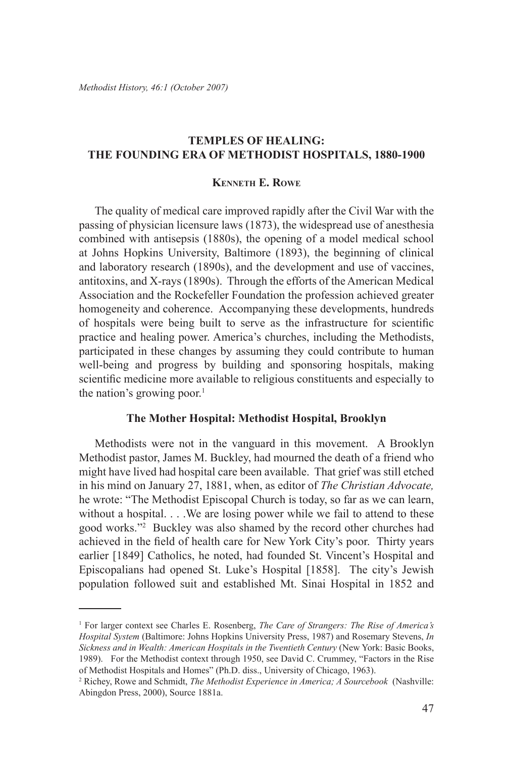### **Temples of Healing: The Founding Era of Methodist Hospitals, 1880-1900**

### **Kenneth E. Rowe**

The quality of medical care improved rapidly after the Civil War with the passing of physician licensure laws (1873), the widespread use of anesthesia combined with antisepsis (1880s), the opening of a model medical school at Johns Hopkins University, Baltimore (1893), the beginning of clinical and laboratory research (1890s), and the development and use of vaccines, antitoxins, and X-rays (1890s). Through the efforts of the American Medical Association and the Rockefeller Foundation the profession achieved greater homogeneity and coherence. Accompanying these developments, hundreds of hospitals were being built to serve as the infrastructure for scientific practice and healing power. America's churches, including the Methodists, participated in these changes by assuming they could contribute to human well-being and progress by building and sponsoring hospitals, making scientific medicine more available to religious constituents and especially to the nation's growing poor. $<sup>1</sup>$ </sup>

#### **The Mother Hospital: Methodist Hospital, Brooklyn**

Methodists were not in the vanguard in this movement. A Brooklyn Methodist pastor, James M. Buckley, had mourned the death of a friend who might have lived had hospital care been available. That grief was still etched in his mind on January 27, 1881, when, as editor of *The Christian Advocate,*  he wrote: "The Methodist Episcopal Church is today, so far as we can learn, without a hospital. . . .We are losing power while we fail to attend to these good works."2 Buckley was also shamed by the record other churches had achieved in the field of health care for New York City's poor. Thirty years earlier [1849] Catholics, he noted, had founded St. Vincent's Hospital and Episcopalians had opened St. Luke's Hospital [1858]. The city's Jewish population followed suit and established Mt. Sinai Hospital in 1852 and

<sup>1</sup> For larger context see Charles E. Rosenberg, *The Care of Strangers: The Rise of America's Hospital System* (Baltimore: Johns Hopkins University Press, 1987) and Rosemary Stevens, *In Sickness and in Wealth: American Hospitals in the Twentieth Century* (New York: Basic Books, 1989). For the Methodist context through 1950, see David C. Crummey, "Factors in the Rise of Methodist Hospitals and Homes" (Ph.D. diss., University of Chicago, 1963).

<sup>2</sup> Richey, Rowe and Schmidt, *The Methodist Experience in America; A Sourcebook* (Nashville: Abingdon Press, 2000), Source 1881a.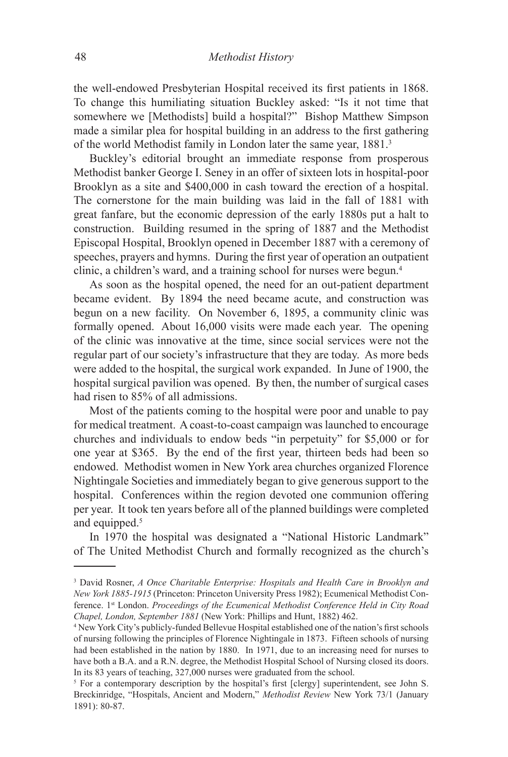the well-endowed Presbyterian Hospital received its first patients in 1868. To change this humiliating situation Buckley asked: "Is it not time that somewhere we [Methodists] build a hospital?" Bishop Matthew Simpson made a similar plea for hospital building in an address to the first gathering of the world Methodist family in London later the same year, 1881.3

Buckley's editorial brought an immediate response from prosperous Methodist banker George I. Seney in an offer of sixteen lots in hospital-poor Brooklyn as a site and \$400,000 in cash toward the erection of a hospital. The cornerstone for the main building was laid in the fall of 1881 with great fanfare, but the economic depression of the early 1880s put a halt to construction. Building resumed in the spring of 1887 and the Methodist Episcopal Hospital, Brooklyn opened in December 1887 with a ceremony of speeches, prayers and hymns. During the first year of operation an outpatient clinic, a children's ward, and a training school for nurses were begun.4

As soon as the hospital opened, the need for an out-patient department became evident. By 1894 the need became acute, and construction was begun on a new facility. On November 6, 1895, a community clinic was formally opened. About 16,000 visits were made each year. The opening of the clinic was innovative at the time, since social services were not the regular part of our society's infrastructure that they are today. As more beds were added to the hospital, the surgical work expanded. In June of 1900, the hospital surgical pavilion was opened. By then, the number of surgical cases had risen to 85% of all admissions.

Most of the patients coming to the hospital were poor and unable to pay for medical treatment. A coast-to-coast campaign was launched to encourage churches and individuals to endow beds "in perpetuity" for \$5,000 or for one year at \$365. By the end of the first year, thirteen beds had been so endowed. Methodist women in New York area churches organized Florence Nightingale Societies and immediately began to give generous support to the hospital. Conferences within the region devoted one communion offering per year. It took ten years before all of the planned buildings were completed and equipped.<sup>5</sup>

In 1970 the hospital was designated a "National Historic Landmark" of The United Methodist Church and formally recognized as the church's

<sup>&</sup>lt;sup>3</sup> David Rosner, *A Once Charitable Enterprise: Hospitals and Health Care in Brooklyn and New York 1885-1915* (Princeton: Princeton University Press 1982); Ecumenical Methodist Conference. 1st London. *Proceedings of the Ecumenical Methodist Conference Held in City Road Chapel, London, September 1881* (New York: Phillips and Hunt, 1882) 462.

<sup>&</sup>lt;sup>4</sup> New York City's publicly-funded Bellevue Hospital established one of the nation's first schools of nursing following the principles of Florence Nightingale in 1873. Fifteen schools of nursing had been established in the nation by 1880. In 1971, due to an increasing need for nurses to have both a B.A. and a R.N. degree, the Methodist Hospital School of Nursing closed its doors. In its 83 years of teaching, 327,000 nurses were graduated from the school.

<sup>&</sup>lt;sup>5</sup> For a contemporary description by the hospital's first [clergy] superintendent, see John S. Breckinridge, "Hospitals, Ancient and Modern," *Methodist Review* New York 73/1 (January 1891): 80-87.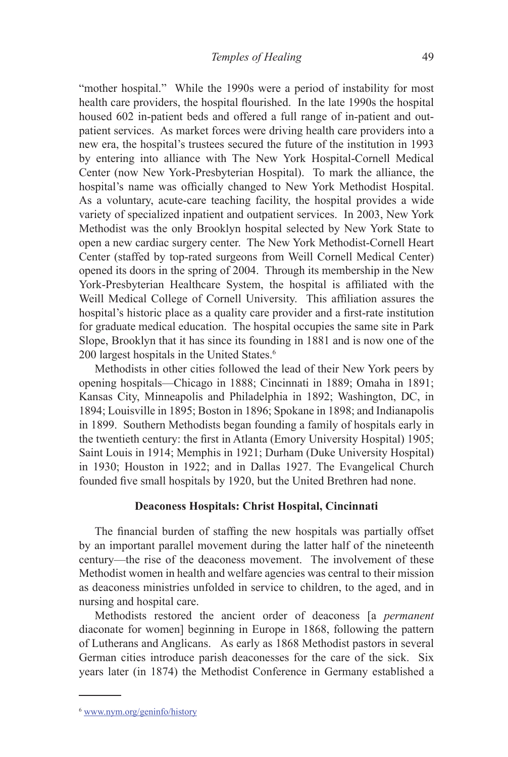"mother hospital." While the 1990s were a period of instability for most health care providers, the hospital flourished. In the late 1990s the hospital housed 602 in-patient beds and offered a full range of in-patient and outpatient services. As market forces were driving health care providers into a new era, the hospital's trustees secured the future of the institution in 1993 by entering into alliance with The New York Hospital-Cornell Medical Center (now New York-Presbyterian Hospital). To mark the alliance, the hospital's name was officially changed to New York Methodist Hospital. As a voluntary, acute-care teaching facility, the hospital provides a wide variety of specialized inpatient and outpatient services. In 2003, New York Methodist was the only Brooklyn hospital selected by New York State to open a new cardiac surgery center. The New York Methodist-Cornell Heart Center (staffed by top-rated surgeons from Weill Cornell Medical Center) opened its doors in the spring of 2004. Through its membership in the New York-Presbyterian Healthcare System, the hospital is affiliated with the Weill Medical College of Cornell University. This affiliation assures the hospital's historic place as a quality care provider and a first-rate institution for graduate medical education. The hospital occupies the same site in Park Slope, Brooklyn that it has since its founding in 1881 and is now one of the 200 largest hospitals in the United States.6

Methodists in other cities followed the lead of their New York peers by opening hospitals—Chicago in 1888; Cincinnati in 1889; Omaha in 1891; Kansas City, Minneapolis and Philadelphia in 1892; Washington, DC, in 1894; Louisville in 1895; Boston in 1896; Spokane in 1898; and Indianapolis in 1899. Southern Methodists began founding a family of hospitals early in the twentieth century: the first in Atlanta (Emory University Hospital) 1905; Saint Louis in 1914; Memphis in 1921; Durham (Duke University Hospital) in 1930; Houston in 1922; and in Dallas 1927. The Evangelical Church founded five small hospitals by 1920, but the United Brethren had none.

### **Deaconess Hospitals: Christ Hospital, Cincinnati**

The financial burden of staffing the new hospitals was partially offset by an important parallel movement during the latter half of the nineteenth century—the rise of the deaconess movement. The involvement of these Methodist women in health and welfare agencies was central to their mission as deaconess ministries unfolded in service to children, to the aged, and in nursing and hospital care.

Methodists restored the ancient order of deaconess [a *permanent* diaconate for women] beginning in Europe in 1868, following the pattern of Lutherans and Anglicans. As early as 1868 Methodist pastors in several German cities introduce parish deaconesses for the care of the sick. Six years later (in 1874) the Methodist Conference in Germany established a

<sup>6</sup> www.nym.org/geninfo/history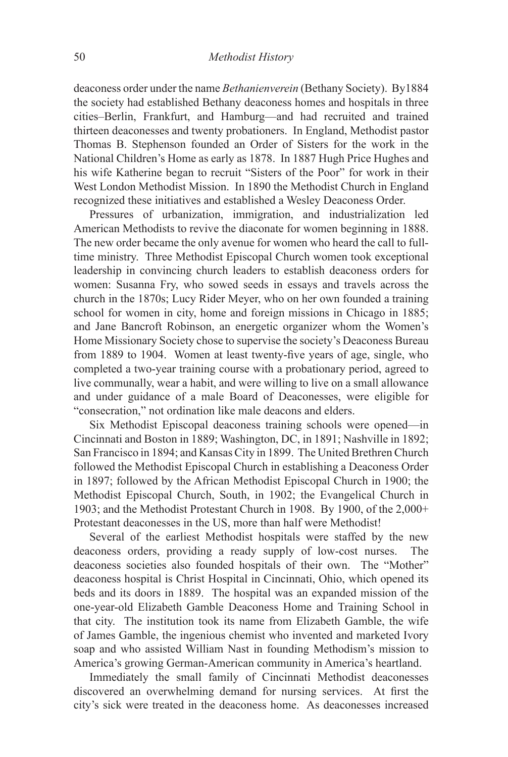deaconess order under the name *Bethanienverein* (Bethany Society). By1884 the society had established Bethany deaconess homes and hospitals in three cities–Berlin, Frankfurt, and Hamburg—and had recruited and trained thirteen deaconesses and twenty probationers. In England, Methodist pastor Thomas B. Stephenson founded an Order of Sisters for the work in the National Children's Home as early as 1878. In 1887 Hugh Price Hughes and his wife Katherine began to recruit "Sisters of the Poor" for work in their West London Methodist Mission. In 1890 the Methodist Church in England recognized these initiatives and established a Wesley Deaconess Order.

Pressures of urbanization, immigration, and industrialization led American Methodists to revive the diaconate for women beginning in 1888. The new order became the only avenue for women who heard the call to fulltime ministry. Three Methodist Episcopal Church women took exceptional leadership in convincing church leaders to establish deaconess orders for women: Susanna Fry, who sowed seeds in essays and travels across the church in the 1870s; Lucy Rider Meyer, who on her own founded a training school for women in city, home and foreign missions in Chicago in 1885; and Jane Bancroft Robinson, an energetic organizer whom the Women's Home Missionary Society chose to supervise the society's Deaconess Bureau from 1889 to 1904. Women at least twenty-five years of age, single, who completed a two-year training course with a probationary period, agreed to live communally, wear a habit, and were willing to live on a small allowance and under guidance of a male Board of Deaconesses, were eligible for "consecration," not ordination like male deacons and elders.

Six Methodist Episcopal deaconess training schools were opened—in Cincinnati and Boston in 1889; Washington, DC, in 1891; Nashville in 1892; San Francisco in 1894; and Kansas City in 1899. The United Brethren Church followed the Methodist Episcopal Church in establishing a Deaconess Order in 1897; followed by the African Methodist Episcopal Church in 1900; the Methodist Episcopal Church, South, in 1902; the Evangelical Church in 1903; and the Methodist Protestant Church in 1908. By 1900, of the 2,000+ Protestant deaconesses in the US, more than half were Methodist!

Several of the earliest Methodist hospitals were staffed by the new deaconess orders, providing a ready supply of low-cost nurses. The deaconess societies also founded hospitals of their own. The "Mother" deaconess hospital is Christ Hospital in Cincinnati, Ohio, which opened its beds and its doors in 1889. The hospital was an expanded mission of the one-year-old Elizabeth Gamble Deaconess Home and Training School in that city. The institution took its name from Elizabeth Gamble, the wife of James Gamble, the ingenious chemist who invented and marketed Ivory soap and who assisted William Nast in founding Methodism's mission to America's growing German-American community in America's heartland.

Immediately the small family of Cincinnati Methodist deaconesses discovered an overwhelming demand for nursing services. At first the city's sick were treated in the deaconess home. As deaconesses increased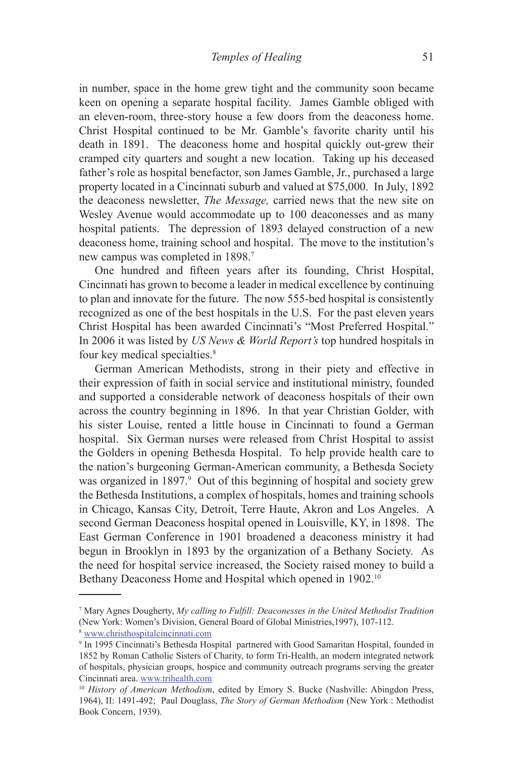in number, space in the home grew tight and the community soon became keen on opening a separate hospital facility. James Gamble obliged with an eleven-room, three-story house a few doors from the deaconess home. Christ Hospital continued to be Mr. Gamble's favorite charity until his death in 1891. The deaconess home and hospital quickly out-grew their cramped city quarters and sought a new location. Taking up his deceased father's role as hospital benefactor, son James Gamble, Jr., purchased a large property located in a Cincinnati suburb and valued at \$75,000. In July, 1892 the deaconess newsletter, *The Message,* carried news that the new site on Wesley Avenue would accommodate up to 100 deaconesses and as many hospital patients. The depression of 1893 delayed construction of a new deaconess home, training school and hospital. The move to the institution's new campus was completed in 1898.7

One hundred and fifteen years after its founding, Christ Hospital, Cincinnati has grown to become a leader in medical excellence by continuing to plan and innovate for the future. The now 555-bed hospital is consistently recognized as one of the best hospitals in the U.S. For the past eleven years Christ Hospital has been awarded Cincinnati's "Most Preferred Hospital." In 2006 it was listed by *US News & World Report's* top hundred hospitals in four key medical specialties.<sup>8</sup>

German American Methodists, strong in their piety and effective in their expression of faith in social service and institutional ministry, founded and supported a considerable network of deaconess hospitals of their own across the country beginning in 1896. In that year Christian Golder, with his sister Louise, rented a little house in Cincinnati to found a German hospital. Six German nurses were released from Christ Hospital to assist the Golders in opening Bethesda Hospital. To help provide health care to the nation's burgeoning German-American community, a Bethesda Society was organized in 1897.<sup>9</sup> Out of this beginning of hospital and society grew the Bethesda Institutions, a complex of hospitals, homes and training schools in Chicago, Kansas City, Detroit, Terre Haute, Akron and Los Angeles. A second German Deaconess hospital opened in Louisville, KY, in 1898. The East German Conference in 1901 broadened a deaconess ministry it had begun in Brooklyn in 1893 by the organization of a Bethany Society. As the need for hospital service increased, the Society raised money to build a Bethany Deaconess Home and Hospital which opened in 1902.<sup>10</sup>

<sup>7</sup> Mary Agnes Dougherty, *My calling to Fulfill: Deaconesses in the United Methodist Tradition* (New York: Women's Division, General Board of Global Ministries,1997), 107-112.

<sup>8</sup> www.christhospitalcincinnati.com

<sup>9</sup> In 1995 Cincinnati's Bethesda Hospital partnered with Good Samaritan Hospital, founded in 1852 by Roman Catholic Sisters of Charity, to form Tri-Health, an modern integrated network of hospitals, physician groups, hospice and community outreach programs serving the greater Cincinnati area. www.trihealth.com 10 *History of American Methodism*, edited by Emory S. Bucke (Nashville: Abingdon Press,

<sup>1964),</sup> II: 1491-492; Paul Douglass, *The Story of German Methodism* (New York : Methodist Book Concern, 1939).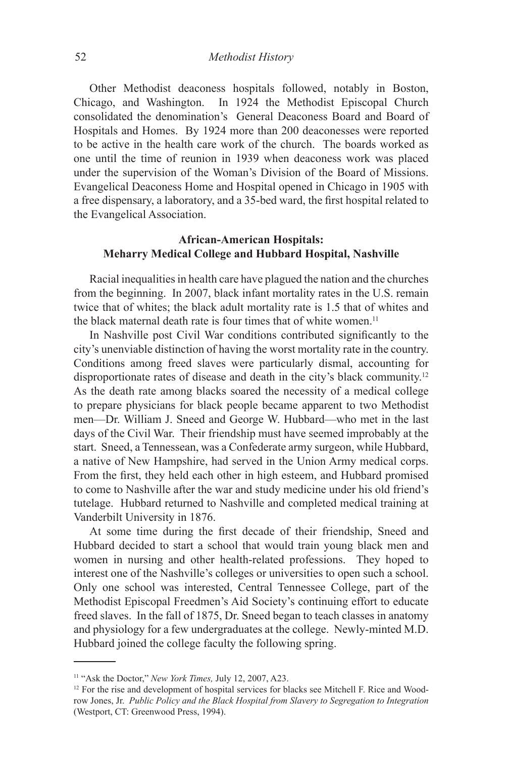Other Methodist deaconess hospitals followed, notably in Boston, Chicago, and Washington. In 1924 the Methodist Episcopal Church consolidated the denomination's General Deaconess Board and Board of Hospitals and Homes. By 1924 more than 200 deaconesses were reported to be active in the health care work of the church. The boards worked as one until the time of reunion in 1939 when deaconess work was placed under the supervision of the Woman's Division of the Board of Missions. Evangelical Deaconess Home and Hospital opened in Chicago in 1905 with a free dispensary, a laboratory, and a 35-bed ward, the first hospital related to the Evangelical Association.

# **African-American Hospitals: Meharry Medical College and Hubbard Hospital, Nashville**

Racial inequalities in health care have plagued the nation and the churches from the beginning. In 2007, black infant mortality rates in the U.S. remain twice that of whites; the black adult mortality rate is 1.5 that of whites and the black maternal death rate is four times that of white women.<sup>11</sup>

In Nashville post Civil War conditions contributed significantly to the city's unenviable distinction of having the worst mortality rate in the country. Conditions among freed slaves were particularly dismal, accounting for disproportionate rates of disease and death in the city's black community.12 As the death rate among blacks soared the necessity of a medical college to prepare physicians for black people became apparent to two Methodist men—Dr. William J. Sneed and George W. Hubbard—who met in the last days of the Civil War. Their friendship must have seemed improbably at the start. Sneed, a Tennessean, was a Confederate army surgeon, while Hubbard, a native of New Hampshire, had served in the Union Army medical corps. From the first, they held each other in high esteem, and Hubbard promised to come to Nashville after the war and study medicine under his old friend's tutelage. Hubbard returned to Nashville and completed medical training at Vanderbilt University in 1876.

At some time during the first decade of their friendship, Sneed and Hubbard decided to start a school that would train young black men and women in nursing and other health-related professions. They hoped to interest one of the Nashville's colleges or universities to open such a school. Only one school was interested, Central Tennessee College, part of the Methodist Episcopal Freedmen's Aid Society's continuing effort to educate freed slaves. In the fall of 1875, Dr. Sneed began to teach classes in anatomy and physiology for a few undergraduates at the college. Newly-minted M.D. Hubbard joined the college faculty the following spring.

<sup>11 &</sup>quot;Ask the Doctor," *New York Times,* July 12, 2007, A23.

<sup>&</sup>lt;sup>12</sup> For the rise and development of hospital services for blacks see Mitchell F. Rice and Woodrow Jones, Jr. *Public Policy and the Black Hospital from Slavery to Segregation to Integration* (Westport, CT: Greenwood Press, 1994).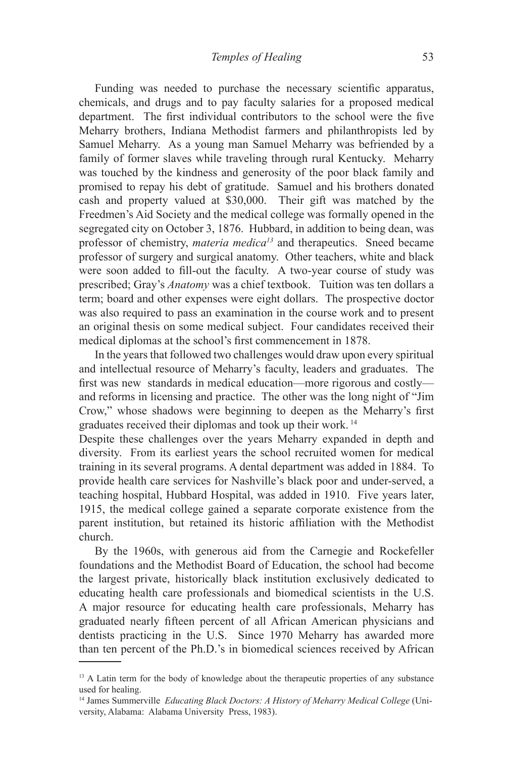Funding was needed to purchase the necessary scientific apparatus, chemicals, and drugs and to pay faculty salaries for a proposed medical department. The first individual contributors to the school were the five Meharry brothers, Indiana Methodist farmers and philanthropists led by Samuel Meharry. As a young man Samuel Meharry was befriended by a family of former slaves while traveling through rural Kentucky. Meharry was touched by the kindness and generosity of the poor black family and promised to repay his debt of gratitude. Samuel and his brothers donated cash and property valued at \$30,000. Their gift was matched by the Freedmen's Aid Society and the medical college was formally opened in the segregated city on October 3, 1876. Hubbard, in addition to being dean, was professor of chemistry, *materia medica13* and therapeutics. Sneed became professor of surgery and surgical anatomy. Other teachers, white and black were soon added to fill-out the faculty. A two-year course of study was prescribed; Gray's *Anatomy* was a chief textbook. Tuition was ten dollars a term; board and other expenses were eight dollars. The prospective doctor was also required to pass an examination in the course work and to present an original thesis on some medical subject. Four candidates received their medical diplomas at the school's first commencement in 1878.

In the years that followed two challenges would draw upon every spiritual and intellectual resource of Meharry's faculty, leaders and graduates. The first was new standards in medical education—more rigorous and costly and reforms in licensing and practice. The other was the long night of "Jim Crow," whose shadows were beginning to deepen as the Meharry's first graduates received their diplomas and took up their work. 14

Despite these challenges over the years Meharry expanded in depth and diversity. From its earliest years the school recruited women for medical training in its several programs. A dental department was added in 1884. To provide health care services for Nashville's black poor and under-served, a teaching hospital, Hubbard Hospital, was added in 1910. Five years later, 1915, the medical college gained a separate corporate existence from the parent institution, but retained its historic affiliation with the Methodist church.

By the 1960s, with generous aid from the Carnegie and Rockefeller foundations and the Methodist Board of Education, the school had become the largest private, historically black institution exclusively dedicated to educating health care professionals and biomedical scientists in the U.S. A major resource for educating health care professionals, Meharry has graduated nearly fifteen percent of all African American physicians and dentists practicing in the U.S. Since 1970 Meharry has awarded more than ten percent of the Ph.D.'s in biomedical sciences received by African

<sup>&</sup>lt;sup>13</sup> A Latin term for the body of knowledge about the therapeutic properties of any substance used for healing.

<sup>14</sup> James Summerville *Educating Black Doctors: A History of Meharry Medical College* (University, Alabama: Alabama University Press, 1983).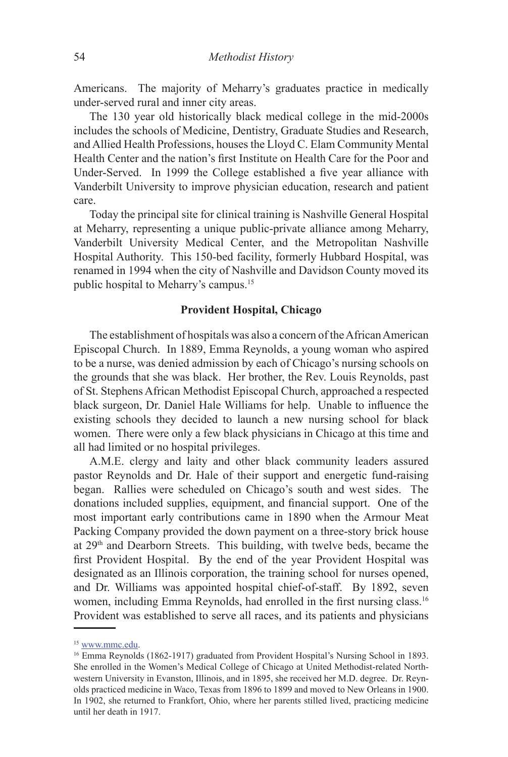Americans. The majority of Meharry's graduates practice in medically under-served rural and inner city areas.

The 130 year old historically black medical college in the mid-2000s includes the schools of Medicine, Dentistry, Graduate Studies and Research, and Allied Health Professions, houses the Lloyd C. Elam Community Mental Health Center and the nation's first Institute on Health Care for the Poor and Under-Served. In 1999 the College established a five year alliance with Vanderbilt University to improve physician education, research and patient care.

Today the principal site for clinical training is Nashville General Hospital at Meharry, representing a unique public-private alliance among Meharry, Vanderbilt University Medical Center, and the Metropolitan Nashville Hospital Authority. This 150-bed facility, formerly Hubbard Hospital, was renamed in 1994 when the city of Nashville and Davidson County moved its public hospital to Meharry's campus.15

# **Provident Hospital, Chicago**

The establishment of hospitals was also a concern of the African American Episcopal Church. In 1889, Emma Reynolds, a young woman who aspired to be a nurse, was denied admission by each of Chicago's nursing schools on the grounds that she was black. Her brother, the Rev. Louis Reynolds, past of St. Stephens African Methodist Episcopal Church, approached a respected black surgeon, Dr. Daniel Hale Williams for help. Unable to influence the existing schools they decided to launch a new nursing school for black women. There were only a few black physicians in Chicago at this time and all had limited or no hospital privileges.

A.M.E. clergy and laity and other black community leaders assured pastor Reynolds and Dr. Hale of their support and energetic fund-raising began. Rallies were scheduled on Chicago's south and west sides. The donations included supplies, equipment, and financial support. One of the most important early contributions came in 1890 when the Armour Meat Packing Company provided the down payment on a three-story brick house at  $29<sup>th</sup>$  and Dearborn Streets. This building, with twelve beds, became the first Provident Hospital. By the end of the year Provident Hospital was designated as an Illinois corporation, the training school for nurses opened, and Dr. Williams was appointed hospital chief-of-staff. By 1892, seven women, including Emma Reynolds, had enrolled in the first nursing class.<sup>16</sup> Provident was established to serve all races, and its patients and physicians

<sup>15</sup> www.mmc.edu.

<sup>&</sup>lt;sup>16</sup> Emma Reynolds (1862-1917) graduated from Provident Hospital's Nursing School in 1893. She enrolled in the Women's Medical College of Chicago at United Methodist-related Northwestern University in Evanston, Illinois, and in 1895, she received her M.D. degree. Dr. Reynolds practiced medicine in Waco, Texas from 1896 to 1899 and moved to New Orleans in 1900. In 1902, she returned to Frankfort, Ohio, where her parents stilled lived, practicing medicine until her death in 1917.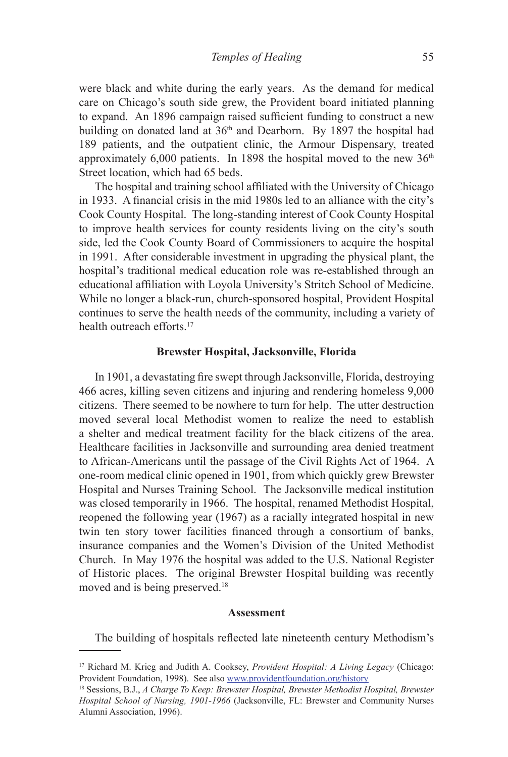were black and white during the early years. As the demand for medical care on Chicago's south side grew, the Provident board initiated planning to expand. An 1896 campaign raised sufficient funding to construct a new building on donated land at  $36<sup>th</sup>$  and Dearborn. By 1897 the hospital had 189 patients, and the outpatient clinic, the Armour Dispensary, treated approximately  $6,000$  patients. In 1898 the hospital moved to the new  $36<sup>th</sup>$ Street location, which had 65 beds.

The hospital and training school affiliated with the University of Chicago in 1933. A financial crisis in the mid 1980s led to an alliance with the city's Cook County Hospital. The long-standing interest of Cook County Hospital to improve health services for county residents living on the city's south side, led the Cook County Board of Commissioners to acquire the hospital in 1991. After considerable investment in upgrading the physical plant, the hospital's traditional medical education role was re-established through an educational affiliation with Loyola University's Stritch School of Medicine. While no longer a black-run, church-sponsored hospital, Provident Hospital continues to serve the health needs of the community, including a variety of health outreach efforts<sup>17</sup>

### **Brewster Hospital, Jacksonville, Florida**

In 1901, a devastating fire swept through Jacksonville, Florida, destroying 466 acres, killing seven citizens and injuring and rendering homeless 9,000 citizens. There seemed to be nowhere to turn for help. The utter destruction moved several local Methodist women to realize the need to establish a shelter and medical treatment facility for the black citizens of the area. Healthcare facilities in Jacksonville and surrounding area denied treatment to African-Americans until the passage of the Civil Rights Act of 1964. A one-room medical clinic opened in 1901, from which quickly grew Brewster Hospital and Nurses Training School. The Jacksonville medical institution was closed temporarily in 1966. The hospital, renamed Methodist Hospital, reopened the following year (1967) as a racially integrated hospital in new twin ten story tower facilities financed through a consortium of banks, insurance companies and the Women's Division of the United Methodist Church. In May 1976 the hospital was added to the U.S. National Register of Historic places. The original Brewster Hospital building was recently moved and is being preserved.<sup>18</sup>

#### **Assessment**

The building of hospitals reflected late nineteenth century Methodism's

<sup>17</sup> Richard M. Krieg and Judith A. Cooksey, *Provident Hospital: A Living Legacy* (Chicago: Provident Foundation, 1998). See also www.providentfoundation.org/history

<sup>18</sup> Sessions, B.J., *A Charge To Keep: Brewster Hospital, Brewster Methodist Hospital, Brewster Hospital School of Nursing, 1901-1966* (Jacksonville, FL: Brewster and Community Nurses Alumni Association, 1996).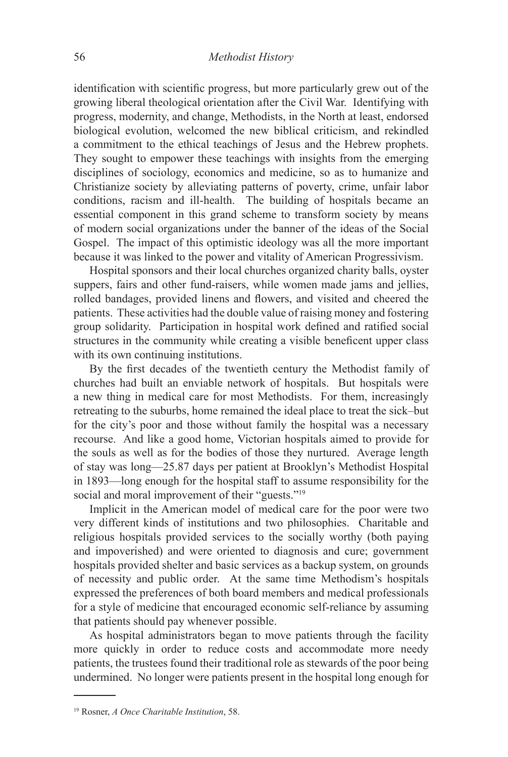identification with scientific progress, but more particularly grew out of the growing liberal theological orientation after the Civil War. Identifying with progress, modernity, and change, Methodists, in the North at least, endorsed biological evolution, welcomed the new biblical criticism, and rekindled a commitment to the ethical teachings of Jesus and the Hebrew prophets. They sought to empower these teachings with insights from the emerging disciplines of sociology, economics and medicine, so as to humanize and Christianize society by alleviating patterns of poverty, crime, unfair labor conditions, racism and ill-health. The building of hospitals became an essential component in this grand scheme to transform society by means of modern social organizations under the banner of the ideas of the Social Gospel. The impact of this optimistic ideology was all the more important because it was linked to the power and vitality of American Progressivism.

Hospital sponsors and their local churches organized charity balls, oyster suppers, fairs and other fund-raisers, while women made jams and jellies, rolled bandages, provided linens and flowers, and visited and cheered the patients. These activities had the double value of raising money and fostering group solidarity. Participation in hospital work defined and ratified social structures in the community while creating a visible beneficent upper class with its own continuing institutions.

By the first decades of the twentieth century the Methodist family of churches had built an enviable network of hospitals. But hospitals were a new thing in medical care for most Methodists. For them, increasingly retreating to the suburbs, home remained the ideal place to treat the sick–but for the city's poor and those without family the hospital was a necessary recourse. And like a good home, Victorian hospitals aimed to provide for the souls as well as for the bodies of those they nurtured. Average length of stay was long—25.87 days per patient at Brooklyn's Methodist Hospital in 1893—long enough for the hospital staff to assume responsibility for the social and moral improvement of their "guests."<sup>19</sup>

Implicit in the American model of medical care for the poor were two very different kinds of institutions and two philosophies. Charitable and religious hospitals provided services to the socially worthy (both paying and impoverished) and were oriented to diagnosis and cure; government hospitals provided shelter and basic services as a backup system, on grounds of necessity and public order. At the same time Methodism's hospitals expressed the preferences of both board members and medical professionals for a style of medicine that encouraged economic self-reliance by assuming that patients should pay whenever possible.

As hospital administrators began to move patients through the facility more quickly in order to reduce costs and accommodate more needy patients, the trustees found their traditional role as stewards of the poor being undermined. No longer were patients present in the hospital long enough for

<sup>19</sup> Rosner, *A Once Charitable Institution*, 58.